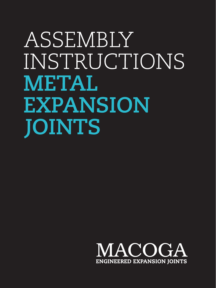# **ASSEMBLY** INSTRUCTIONS **METAL EXPANSION JOINTS**

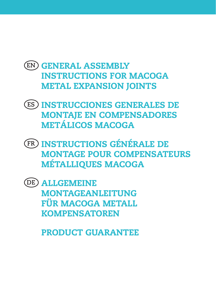#### GENERAL ASSEMBLY **EN** INSTRUCTIONS FOR MACOGA METAL EXPANSION JOINTS

- INSTRUCCIONES GENERALES DE **ES** MONTAJE EN COMPENSADORES METÁLICOS MACOGA
- INSTRUCTIONS GÉNÉRALE DE **FR** MONTAGE POUR COMPENSATEURS MÉTALLIQUES MACOGA
- ALLGEMEINE **DE**MONTAGEANLEITUNG FÜR MACOGA METALL **KOMPENSATOREN**

PRODUCT GUARANTEE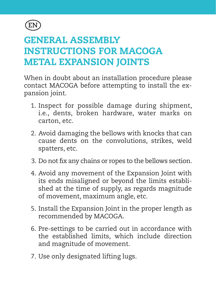

### GENERAL ASSEMBLY INSTRUCTIONS FOR MACOGA METAL EXPANSION JOINTS

When in doubt about an installation procedure please contact MACOGA before attempting to install the expansion joint.

- 1. Inspect for possible damage during shipment, i.e., dents, broken hardware, water marks on carton, etc.
- 2. Avoid damaging the bellows with knocks that can cause dents on the convolutions, strikes, weld spatters, etc.
- 3. Do not fix any chains or ropes to the bellows section.
- 4. Avoid any movement of the Expansion Joint with its ends misaligned or beyond the limits established at the time of supply, as regards magnitude of movement, maximum angle, etc.
- 5. Install the Expansion Joint in the proper length as recommended by MACOGA.
- 6. Pre-settings to be carried out in accordance with the established limits, which include direction and magnitude of movement.
- 7. Use only designated lifting lugs.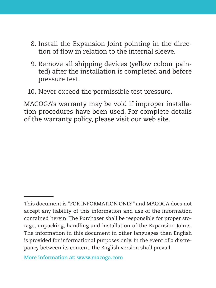- 8. Install the Expansion Joint pointing in the direction of flow in relation to the internal sleeve.
- 9. Remove all shipping devices (yellow colour painted) after the installation is completed and before pressure test.
- 10. Never exceed the permissible test pressure.

MACOGA's warranty may be void if improper installation procedures have been used. For complete details of the warranty policy, please visit our web site.

**More information at: www.macoga.com**

This document is "FOR INFORMATION ONLY" and MACOGA does not accept any liability of this information and use of the information contained herein. The Purchaser shall be responsible for proper storage, unpacking, handling and installation of the Expansion Joints. The information in this document in other languages than English is provided for informational purposes only. In the event of a discrepancy between its content, the English version shall prevail.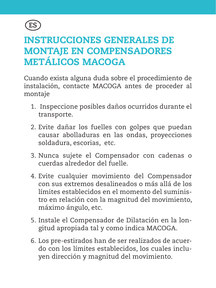

### INSTRUCCIONES GENERALES DE MONTAJE EN COMPENSADORES METÁLICOS MACOGA

Cuando exista alguna duda sobre el procedimiento de instalación, contacte MACOGA antes de proceder al montaje

- 1. Inspeccione posibles daños ocurridos durante el transporte.
- 2. Evite dañar los fuelles con golpes que puedan causar abolladuras en las ondas, proyecciones soldadura, escorias, etc.
- 3. Nunca sujete el Compensador con cadenas o cuerdas alrededor del fuelle.
- 4. Evite cualquier movimiento del Compensador con sus extremos desalineados o más allá de los límites establecidos en el momento del suministro en relación con la magnitud del movimiento, máximo ángulo, etc.
- 5. Instale el Compensador de Dilatación en la longitud apropiada tal y como indica MACOGA.
- 6. Los pre-estirados han de ser realizados de acuerdo con los límites establecidos, los cuales incluyen dirección y magnitud del movimiento.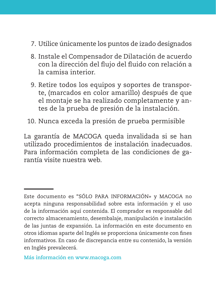- 7. Utilice únicamente los puntos de izado designados
- 8. Instale el Compensador de Dilatación de acuerdo con la dirección del flujo del fluido con relación a la camisa interior.
- 9. Retire todos los equipos y soportes de transporte, (marcados en color amarillo) después de que el montaje se ha realizado completamente y antes de la prueba de presión de la instalación.
- 10. Nunca exceda la presión de prueba permisible

La garantía de MACOGA queda invalidada si se han utilizado procedimientos de instalación inadecuados. Para información completa de las condiciones de garantía visite nuestra web.

**Más información en www.macoga.com**

Este documento es "SÓLO PARA INFORMACIÓN» y MACOGA no acepta ninguna responsabilidad sobre esta información y el uso de la información aquí contenida. El comprador es responsable del correcto almacenamiento, desembalaje, manipulación e instalación de las juntas de expansión. La información en este documento en otros idiomas aparte del Inglés se proporciona únicamente con fines informativos. En caso de discrepancia entre su contenido, la versión en Inglés prevalecerá.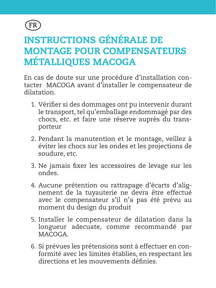

## INSTRUCTIONS GÉNÉRALE DE MONTAGE POUR COMPENSATEURS MÉTALLIQUES MACOGA

En cas de doute sur une procédure d'installation contacter MACOGA avant d'installer le compensateur de dilatation.

- 1. Vérifier si des dommages ont pu intervenir durant le transport, tel qu'emballage endommagé par des chocs, etc. et faire une réserve auprès du transporteur
- 2. Pendant la manutention et le montage, veillez à éviter les chocs sur les ondes et les projections de soudure, etc.
- 3. Ne jamais fixer les accessoires de levage sur les ondes.
- 4. Aucune prétention ou rattrapage d'écarts d'alignement de la tuyauterie ne devra être effectué avec le compensateur s'il n'a pas été prévu au moment du design du produit
- 5. Installer le compensateur de dilatation dans la longueur adecuate, comme recommandé par MACOGA.
- 6. Si prévues les prétensions sont à effectuer en conformité avec les limites établies, en respectant les directions et les mouvements définies.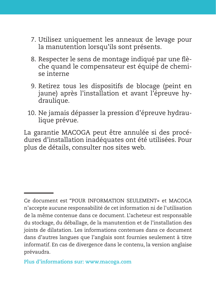- 7. Utilisez uniquement les anneaux de levage pour la manutention lorsqu'ils sont présents.
- 8. Respecter le sens de montage indiqué par une flèche quand le compensateur est équipé de chemise interne
- 9. Retirez tous les dispositifs de blocage (peint en jaune) après l'installation et avant l'épreuve hydraulique.
- 10. Ne jamais dépasser la pression d'épreuve hydraulique prévue.

La garantie MACOGA peut être annulée si des procédures d'installation inadéquates ont été utilisées. Pour plus de détails, consulter nos sites web.

Ce document est "POUR INFORMATION SEULEMENT» et MACOGA n'accepte aucune responsabilité de cet information ni de l'utilisation de la même contenue dans ce document. L'acheteur est responsable du stockage, du déballage, de la manutention et de l'installation des joints de dilatation. Les informations contenues dans ce document dans d'autres langues que l'anglais sont fournies seulement à titre informatif. En cas de divergence dans le contenu, la version anglaise prévaudra.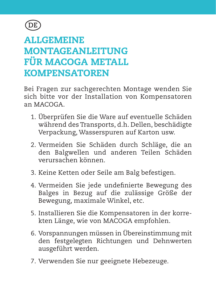

#### ALLGEMEINE MONTAGEANLEITUNG FÜR MACOGA METALL KOMPENSATOREN

Bei Fragen zur sachgerechten Montage wenden Sie sich bitte vor der Installation von Kompensatoren an MACOGA.

- 1. Überprüfen Sie die Ware auf eventuelle Schäden während des Transports, d.h. Dellen, beschädigte Verpackung, Wasserspuren auf Karton usw.
- 2. Vermeiden Sie Schäden durch Schläge, die an den Balgwellen und anderen Teilen Schäden verursachen können.
- 3. Keine Ketten oder Seile am Balg befestigen.
- 4. Vermeiden Sie jede undefinierte Bewegung des Balges in Bezug auf die zulässige Größe der Bewegung, maximale Winkel, etc.
- 5. Installieren Sie die Kompensatoren in der korrekten Länge, wie von MACOGA empfohlen.
- 6. Vorspannungen müssen in Übereinstimmung mit den festgelegten Richtungen und Dehnwerten ausgeführt werden.
- 7. Verwenden Sie nur geeignete Hebezeuge.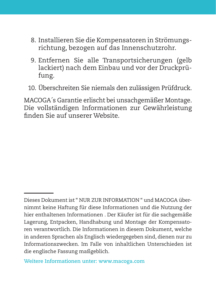- 8. Installieren Sie die Kompensatoren in Strömungsrichtung, bezogen auf das Innenschutzrohr.
- 9. Entfernen Sie alle Transportsicherungen (gelb lackiert) nach dem Einbau und vor der Druckprüfung.
- 10. Überschreiten Sie niemals den zulässigen Prüfdruck.

MACOGA´s Garantie erlischt bei unsachgemäßer Montage. Die vollständigen Informationen zur Gewährleistung finden Sie auf unserer Website.

**Weitere Informationen unter: www.macoga.com**

Dieses Dokument ist " NUR ZUR INFORMATION " und MACOGA übernimmt keine Haftung für diese Informationen und die Nutzung der hier enthaltenen Informationen . Der Käufer ist für die sachgemäße Lagerung, Entpacken, Handhabung und Montage der Kompensatoren verantwortlich. Die Informationen in diesem Dokument, welche in anderen Sprachen als Englisch wiedergegeben sind, dienen nur zu Informationszwecken. Im Falle von inhaltlichen Unterschieden ist die englische Fassung maßgeblich.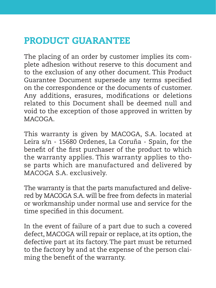#### PRODUCT GUARANTEE

The placing of an order by customer implies its complete adhesion without reserve to this document and to the exclusion of any other document. This Product Guarantee Document supersede any terms specified on the correspondence or the documents of customer. Any additions, erasures, modifications or deletions related to this Document shall be deemed null and void to the exception of those approved in written by MACOGA.

This warranty is given by MACOGA, S.A. located at Leira s/n - 15680 Ordenes, La Coruña - Spain, for the benefit of the first purchaser of the product to which the warranty applies. This warranty applies to those parts which are manufactured and delivered by MACOGA S.A. exclusively.

The warranty is that the parts manufactured and delivered by MACOGA S.A. will be free from defects in material or workmanship under normal use and service for the time specified in this document.

In the event of failure of a part due to such a covered defect, MACOGA will repair or replace, at its option, the defective part at its factory. The part must be returned to the factory by and at the expense of the person claiming the benefit of the warranty.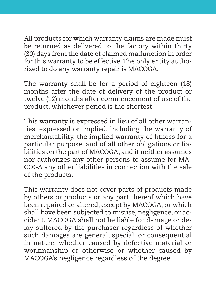All products for which warranty claims are made must be returned as delivered to the factory within thirty (30) days from the date of claimed malfunction in order for this warranty to be effective. The only entity authorized to do any warranty repair is MACOGA.

The warranty shall be for a period of eighteen (18) months after the date of delivery of the product or twelve (12) months after commencement of use of the product, whichever period is the shortest.

This warranty is expressed in lieu of all other warranties, expressed or implied, including the warranty of merchantability, the implied warranty of fitness for a particular purpose, and of all other obligations or liabilities on the part of MACOGA, and it neither assumes nor authorizes any other persons to assume for MA-COGA any other liabilities in connection with the sale of the products.

This warranty does not cover parts of products made by others or products or any part thereof which have been repaired or altered, except by MACOGA, or which shall have been subjected to misuse, negligence, or accident. MACOGA shall not be liable for damage or delay suffered by the purchaser regardless of whether such damages are general, special, or consequential in nature, whether caused by defective material or workmanship or otherwise or whether caused by MACOGA's negligence regardless of the degree.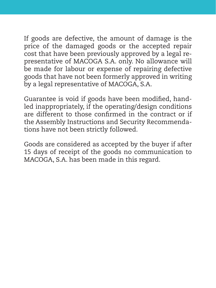If goods are defective, the amount of damage is the price of the damaged goods or the accepted repair cost that have been previously approved by a legal representative of MACOGA S.A. only. No allowance will be made for labour or expense of repairing defective goods that have not been formerly approved in writing by a legal representative of MACOGA, S.A.

Guarantee is void if goods have been modified, handled inappropriately, if the operating/design conditions are different to those confirmed in the contract or if the Assembly Instructions and Security Recommendations have not been strictly followed.

Goods are considered as accepted by the buyer if after 15 days of receipt of the goods no communication to MACOGA, S.A. has been made in this regard.